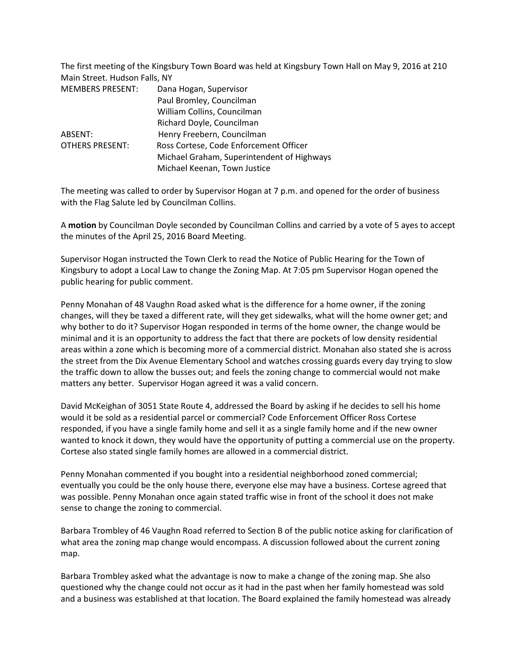The first meeting of the Kingsbury Town Board was held at Kingsbury Town Hall on May 9, 2016 at 210 Main Street. Hudson Falls, NY

| <b>MEMBERS PRESENT:</b> | Dana Hogan, Supervisor                     |
|-------------------------|--------------------------------------------|
|                         | Paul Bromley, Councilman                   |
|                         | William Collins, Councilman                |
|                         | Richard Doyle, Councilman                  |
| ABSENT:                 | Henry Freebern, Councilman                 |
| <b>OTHERS PRESENT:</b>  | Ross Cortese, Code Enforcement Officer     |
|                         | Michael Graham, Superintendent of Highways |
|                         | Michael Keenan, Town Justice               |

The meeting was called to order by Supervisor Hogan at 7 p.m. and opened for the order of business with the Flag Salute led by Councilman Collins.

A **motion** by Councilman Doyle seconded by Councilman Collins and carried by a vote of 5 ayes to accept the minutes of the April 25, 2016 Board Meeting.

Supervisor Hogan instructed the Town Clerk to read the Notice of Public Hearing for the Town of Kingsbury to adopt a Local Law to change the Zoning Map. At 7:05 pm Supervisor Hogan opened the public hearing for public comment.

Penny Monahan of 48 Vaughn Road asked what is the difference for a home owner, if the zoning changes, will they be taxed a different rate, will they get sidewalks, what will the home owner get; and why bother to do it? Supervisor Hogan responded in terms of the home owner, the change would be minimal and it is an opportunity to address the fact that there are pockets of low density residential areas within a zone which is becoming more of a commercial district. Monahan also stated she is across the street from the Dix Avenue Elementary School and watches crossing guards every day trying to slow the traffic down to allow the busses out; and feels the zoning change to commercial would not make matters any better. Supervisor Hogan agreed it was a valid concern.

David McKeighan of 3051 State Route 4, addressed the Board by asking if he decides to sell his home would it be sold as a residential parcel or commercial? Code Enforcement Officer Ross Cortese responded, if you have a single family home and sell it as a single family home and if the new owner wanted to knock it down, they would have the opportunity of putting a commercial use on the property. Cortese also stated single family homes are allowed in a commercial district.

Penny Monahan commented if you bought into a residential neighborhood zoned commercial; eventually you could be the only house there, everyone else may have a business. Cortese agreed that was possible. Penny Monahan once again stated traffic wise in front of the school it does not make sense to change the zoning to commercial.

Barbara Trombley of 46 Vaughn Road referred to Section B of the public notice asking for clarification of what area the zoning map change would encompass. A discussion followed about the current zoning map.

Barbara Trombley asked what the advantage is now to make a change of the zoning map. She also questioned why the change could not occur as it had in the past when her family homestead was sold and a business was established at that location. The Board explained the family homestead was already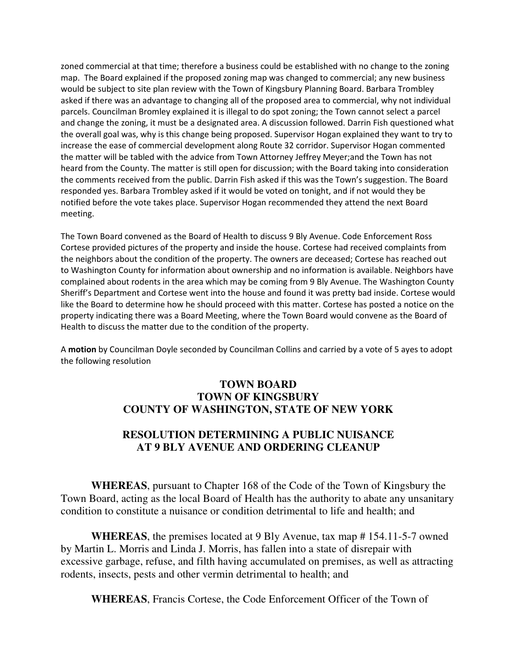zoned commercial at that time; therefore a business could be established with no change to the zoning map. The Board explained if the proposed zoning map was changed to commercial; any new business would be subject to site plan review with the Town of Kingsbury Planning Board. Barbara Trombley asked if there was an advantage to changing all of the proposed area to commercial, why not individual parcels. Councilman Bromley explained it is illegal to do spot zoning; the Town cannot select a parcel and change the zoning, it must be a designated area. A discussion followed. Darrin Fish questioned what the overall goal was, why is this change being proposed. Supervisor Hogan explained they want to try to increase the ease of commercial development along Route 32 corridor. Supervisor Hogan commented the matter will be tabled with the advice from Town Attorney Jeffrey Meyer;and the Town has not heard from the County. The matter is still open for discussion; with the Board taking into consideration the comments received from the public. Darrin Fish asked if this was the Town's suggestion. The Board responded yes. Barbara Trombley asked if it would be voted on tonight, and if not would they be notified before the vote takes place. Supervisor Hogan recommended they attend the next Board meeting.

The Town Board convened as the Board of Health to discuss 9 Bly Avenue. Code Enforcement Ross Cortese provided pictures of the property and inside the house. Cortese had received complaints from the neighbors about the condition of the property. The owners are deceased; Cortese has reached out to Washington County for information about ownership and no information is available. Neighbors have complained about rodents in the area which may be coming from 9 Bly Avenue. The Washington County Sheriff's Department and Cortese went into the house and found it was pretty bad inside. Cortese would like the Board to determine how he should proceed with this matter. Cortese has posted a notice on the property indicating there was a Board Meeting, where the Town Board would convene as the Board of Health to discuss the matter due to the condition of the property.

A **motion** by Councilman Doyle seconded by Councilman Collins and carried by a vote of 5 ayes to adopt the following resolution

## **TOWN BOARD TOWN OF KINGSBURY COUNTY OF WASHINGTON, STATE OF NEW YORK**

# **RESOLUTION DETERMINING A PUBLIC NUISANCE AT 9 BLY AVENUE AND ORDERING CLEANUP**

**WHEREAS**, pursuant to Chapter 168 of the Code of the Town of Kingsbury the Town Board, acting as the local Board of Health has the authority to abate any unsanitary condition to constitute a nuisance or condition detrimental to life and health; and

**WHEREAS**, the premises located at 9 Bly Avenue, tax map # 154.11-5-7 owned by Martin L. Morris and Linda J. Morris, has fallen into a state of disrepair with excessive garbage, refuse, and filth having accumulated on premises, as well as attracting rodents, insects, pests and other vermin detrimental to health; and

**WHEREAS**, Francis Cortese, the Code Enforcement Officer of the Town of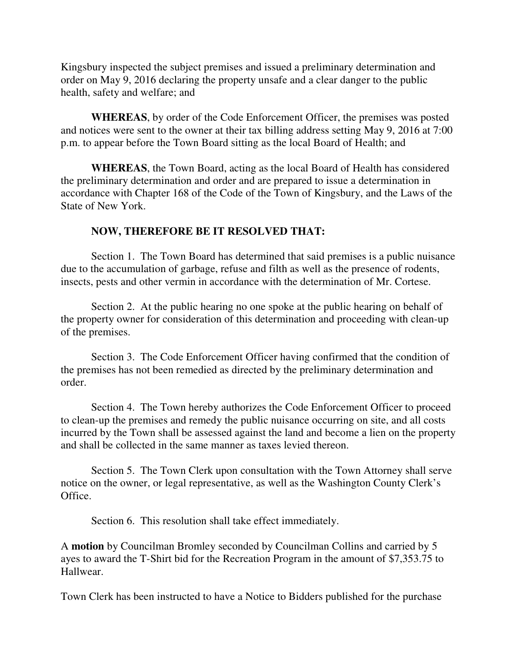Kingsbury inspected the subject premises and issued a preliminary determination and order on May 9, 2016 declaring the property unsafe and a clear danger to the public health, safety and welfare; and

**WHEREAS**, by order of the Code Enforcement Officer, the premises was posted and notices were sent to the owner at their tax billing address setting May 9, 2016 at 7:00 p.m. to appear before the Town Board sitting as the local Board of Health; and

**WHEREAS**, the Town Board, acting as the local Board of Health has considered the preliminary determination and order and are prepared to issue a determination in accordance with Chapter 168 of the Code of the Town of Kingsbury, and the Laws of the State of New York.

## **NOW, THEREFORE BE IT RESOLVED THAT:**

 Section 1. The Town Board has determined that said premises is a public nuisance due to the accumulation of garbage, refuse and filth as well as the presence of rodents, insects, pests and other vermin in accordance with the determination of Mr. Cortese.

 Section 2. At the public hearing no one spoke at the public hearing on behalf of the property owner for consideration of this determination and proceeding with clean-up of the premises.

 Section 3. The Code Enforcement Officer having confirmed that the condition of the premises has not been remedied as directed by the preliminary determination and order.

 Section 4. The Town hereby authorizes the Code Enforcement Officer to proceed to clean-up the premises and remedy the public nuisance occurring on site, and all costs incurred by the Town shall be assessed against the land and become a lien on the property and shall be collected in the same manner as taxes levied thereon.

 Section 5. The Town Clerk upon consultation with the Town Attorney shall serve notice on the owner, or legal representative, as well as the Washington County Clerk's Office.

Section 6. This resolution shall take effect immediately.

A **motion** by Councilman Bromley seconded by Councilman Collins and carried by 5 ayes to award the T-Shirt bid for the Recreation Program in the amount of \$7,353.75 to Hallwear.

Town Clerk has been instructed to have a Notice to Bidders published for the purchase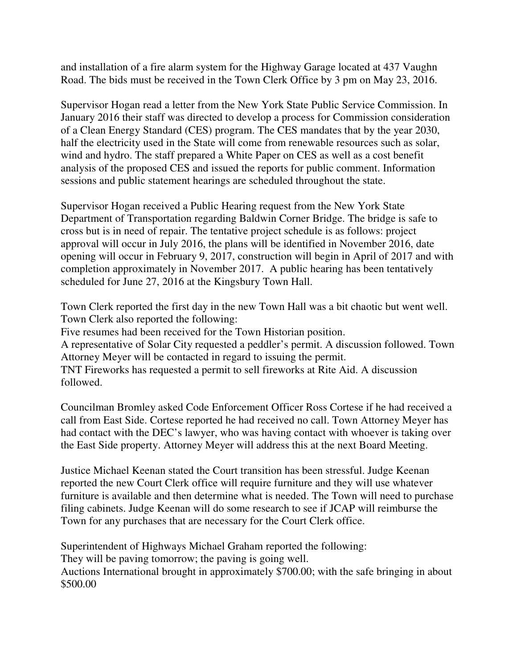and installation of a fire alarm system for the Highway Garage located at 437 Vaughn Road. The bids must be received in the Town Clerk Office by 3 pm on May 23, 2016.

Supervisor Hogan read a letter from the New York State Public Service Commission. In January 2016 their staff was directed to develop a process for Commission consideration of a Clean Energy Standard (CES) program. The CES mandates that by the year 2030, half the electricity used in the State will come from renewable resources such as solar, wind and hydro. The staff prepared a White Paper on CES as well as a cost benefit analysis of the proposed CES and issued the reports for public comment. Information sessions and public statement hearings are scheduled throughout the state.

Supervisor Hogan received a Public Hearing request from the New York State Department of Transportation regarding Baldwin Corner Bridge. The bridge is safe to cross but is in need of repair. The tentative project schedule is as follows: project approval will occur in July 2016, the plans will be identified in November 2016, date opening will occur in February 9, 2017, construction will begin in April of 2017 and with completion approximately in November 2017. A public hearing has been tentatively scheduled for June 27, 2016 at the Kingsbury Town Hall.

Town Clerk reported the first day in the new Town Hall was a bit chaotic but went well. Town Clerk also reported the following: Five resumes had been received for the Town Historian position. A representative of Solar City requested a peddler's permit. A discussion followed. Town

Attorney Meyer will be contacted in regard to issuing the permit.

TNT Fireworks has requested a permit to sell fireworks at Rite Aid. A discussion followed.

Councilman Bromley asked Code Enforcement Officer Ross Cortese if he had received a call from East Side. Cortese reported he had received no call. Town Attorney Meyer has had contact with the DEC's lawyer, who was having contact with whoever is taking over the East Side property. Attorney Meyer will address this at the next Board Meeting.

Justice Michael Keenan stated the Court transition has been stressful. Judge Keenan reported the new Court Clerk office will require furniture and they will use whatever furniture is available and then determine what is needed. The Town will need to purchase filing cabinets. Judge Keenan will do some research to see if JCAP will reimburse the Town for any purchases that are necessary for the Court Clerk office.

Superintendent of Highways Michael Graham reported the following: They will be paving tomorrow; the paving is going well. Auctions International brought in approximately \$700.00; with the safe bringing in about \$500.00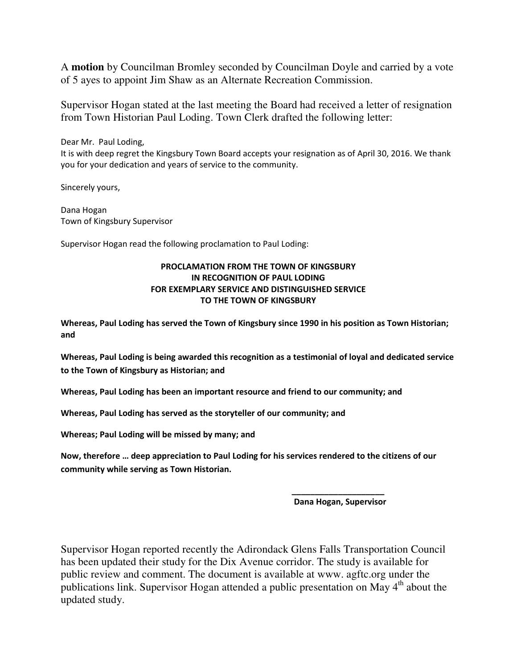A **motion** by Councilman Bromley seconded by Councilman Doyle and carried by a vote of 5 ayes to appoint Jim Shaw as an Alternate Recreation Commission.

Supervisor Hogan stated at the last meeting the Board had received a letter of resignation from Town Historian Paul Loding. Town Clerk drafted the following letter:

Dear Mr. Paul Loding, It is with deep regret the Kingsbury Town Board accepts your resignation as of April 30, 2016. We thank you for your dedication and years of service to the community.

Sincerely yours,

Dana Hogan Town of Kingsbury Supervisor

Supervisor Hogan read the following proclamation to Paul Loding:

#### **PROCLAMATION FROM THE TOWN OF KINGSBURY IN RECOGNITION OF PAUL LODING FOR EXEMPLARY SERVICE AND DISTINGUISHED SERVICE TO THE TOWN OF KINGSBURY**

**Whereas, Paul Loding has served the Town of Kingsbury since 1990 in his position as Town Historian; and** 

**Whereas, Paul Loding is being awarded this recognition as a testimonial of loyal and dedicated service to the Town of Kingsbury as Historian; and** 

**Whereas, Paul Loding has been an important resource and friend to our community; and** 

 **\_\_\_\_\_\_\_\_\_\_\_\_\_\_\_\_\_\_\_\_** 

**Whereas, Paul Loding has served as the storyteller of our community; and** 

**Whereas; Paul Loding will be missed by many; and** 

**Now, therefore … deep appreciation to Paul Loding for his services rendered to the citizens of our community while serving as Town Historian.** 

 **Dana Hogan, Supervisor** 

Supervisor Hogan reported recently the Adirondack Glens Falls Transportation Council has been updated their study for the Dix Avenue corridor. The study is available for public review and comment. The document is available at www. agftc.org under the publications link. Supervisor Hogan attended a public presentation on May 4<sup>th</sup> about the updated study.